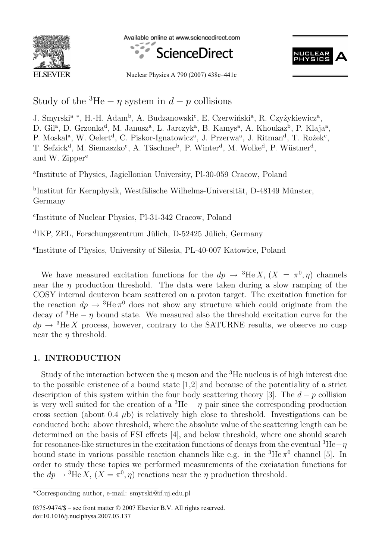

Available online at www.sciencedirect.com





Nuclear Physics A 790 (2007) 438c–441c

Study of the <sup>3</sup>He –  $\eta$  system in  $d - p$  collisions

J. Smyrski<sup>a</sup> \*, H.-H. Adam<sup>b</sup>, A. Budzanowski<sup>c</sup>, E. Czerwiński<sup>a</sup>, R. Czyżykiewicz<sup>a</sup>, D. Gil<sup>a</sup>, D. Grzonka<sup>d</sup>, M. Janusz<sup>a</sup>, L. Jarczyk<sup>a</sup>, B. Kamys<sup>a</sup>, A. Khoukaz<sup>b</sup>, P. Klaja<sup>a</sup>, P. Moskal<sup>a</sup>, W. Oelert<sup>d</sup>, C. Piskor-Ignatowicz<sup>a</sup>, J. Przerwa<sup>a</sup>, J. Ritman<sup>d</sup>, T. Rożek<sup>e</sup>, T. Sefzick<sup>d</sup>, M. Siemaszko<sup>e</sup>, A. Täschner<sup>b</sup>, P. Winter<sup>d</sup>, M. Wolke<sup>d</sup>, P. Wüstner<sup>d</sup>, and W. Zipper<sup>e</sup>

<sup>a</sup>Institute of Physics, Jagiellonian University, Pl-30-059 Cracow, Poland

bInstitut für Kernphysik, Westfälische Wilhelms-Universität, D-48149 Münster, Germany

c Institute of Nuclear Physics, Pl-31-342 Cracow, Poland

 ${}^{\text{d}}$ IKP, ZEL, Forschungszentrum Jülich, D-52425 Jülich, Germany

e Institute of Physics, University of Silesia, PL-40-007 Katowice, Poland

We have measured excitation functions for the  $dp \to {}^{3}\text{He} X$ ,  $(X = \pi^0, \eta)$  channels near the  $\eta$  production threshold. The data were taken during a slow ramping of the COSY internal deuteron beam scattered on a proton target. The excitation function for the reaction  $dp \rightarrow {}^{3}\text{He} \pi^0$  does not show any structure which could originate from the decay of  ${}^{3}$ He –  $\eta$  bound state. We measured also the threshold excitation curve for the  $dp \rightarrow {}^{3}\text{He} X$  process, however, contrary to the SATURNE results, we observe no cusp near the  $\eta$  threshold.

## **1. INTRODUCTION**

Study of the interaction between the  $\eta$  meson and the <sup>3</sup>He nucleus is of high interest due to the possible existence of a bound state [1,2] and because of the potentiality of a strict description of this system within the four body scattering theory [3]. The  $d - p$  collision is very well suited for the creation of a  ${}^{3}He - \eta$  pair since the corresponding production cross section (about 0.4  $\mu$ b) is relatively high close to threshold. Investigations can be conducted both: above threshold, where the absolute value of the scattering length can be determined on the basis of FSI effects [4], and below threshold, where one should search for resonance-like structures in the excitation functions of decays from the eventual  ${}^{3}He-\eta$ bound state in various possible reaction channels like e.g. in the  ${}^{3}He \pi^{0}$  channel [5]. In order to study these topics we performed measurements of the exciatation functions for the  $dp \rightarrow {}^{3}\text{He } X$ ,  $(X = \pi^{0}, \eta)$  reactions near the  $\eta$  production threshold.

0375-9474/\$ – see front matter © 2007 Elsevier B.V. All rights reserved. doi:10.1016/j.nuclphysa.2007.03.137

<sup>∗</sup>Corresponding author, e-mail: smyrski@if.uj.edu.pl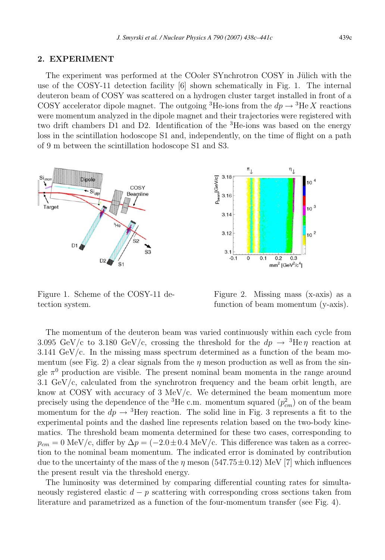## **2. EXPERIMENT**

The experiment was performed at the COoler SYnchrotron COSY in Jülich with the use of the COSY-11 detection facility [6] shown schematically in Fig. 1. The internal deuteron beam of COSY was scattered on a hydrogen cluster target installed in front of a COSY accelerator dipole magnet. The outgoing <sup>3</sup>He-ions from the  $dp \rightarrow$ <sup>3</sup>He X reactions were momentum analyzed in the dipole magnet and their trajectories were registered with two drift chambers D1 and D2. Identification of the <sup>3</sup>He-ions was based on the energy loss in the scintillation hodoscope S1 and, independently, on the time of flight on a path of 9 m between the scintillation hodoscope S1 and S3.



Figure 1. Scheme of the COSY-11 detection system.



Figure 2. Missing mass (x-axis) as a function of beam momentum (y-axis).

The momentum of the deuteron beam was varied continuously within each cycle from 3.095 GeV/c to 3.180 GeV/c, crossing the threshold for the  $dp \rightarrow$  <sup>3</sup>He $\eta$  reaction at 3.141 GeV/c. In the missing mass spectrum determined as a function of the beam momentum (see Fig. 2) a clear signals from the  $\eta$  meson production as well as from the single  $\pi^0$  production are visible. The present nominal beam momenta in the range around 3.1 GeV/c, calculated from the synchrotron frequency and the beam orbit length, are know at COSY with accuracy of 3 MeV/c. We determined the beam momentum more precisely using the dependence of the <sup>3</sup>He c.m. momentum squared  $(p_{cm}^2)$  on of the beam momentum for the  $dp \rightarrow {}^{3}$ He $\eta$  reaction. The solid line in Fig. 3 represents a fit to the experimental points and the dashed line represents relation based on the two-body kinematics. The threshold beam momenta determined for these two cases, corresponding to  $p_{cm} = 0$  MeV/c, differ by  $\Delta p = (-2.0 \pm 0.4 \text{ MeV/c})$ . This difference was taken as a correction to the nominal beam momentum. The indicated error is dominated by contribution due to the uncertainty of the mass of the  $\eta$  meson (547.75 $\pm$ 0.12) MeV [7] which influences the present result via the threshold energy.

The luminosity was determined by comparing differential counting rates for simultaneously registered elastic  $d - p$  scattering with corresponding cross sections taken from literature and parametrized as a function of the four-momentum transfer (see Fig. 4).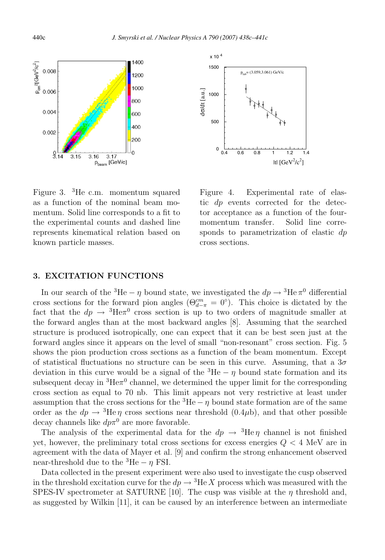



as a function of the nominal beam momentum. Solid line corresponds to a fit to the experimental counts and dashed line represents kinematical relation based on known particle masses. Figure 3. <sup>3</sup>He c.m. momentum squared

Figure 4. Experimental rate of elastic dp events corrected for the detector acceptance as a function of the fourmomentum transfer. Solid line corresponds to parametrization of elastic dp cross sections.

## **3. EXCITATION FUNCTIONS**

In our search of the <sup>3</sup>He –  $\eta$  bound state, we investigated the  $dp \rightarrow$ <sup>3</sup>He  $\pi$ <sup>0</sup> differential cross sections for the forward pion angles  $(\Theta_{d-\pi}^{cm} = 0^{\circ})$ . This choice is dictated by the fact that the  $dp \rightarrow {}^{3}He\pi {}^{0}$  cross section is up to two orders of magnitude smaller at the forward angles than at the most backward angles [8]. Assuming that the searched structure is produced isotropically, one can expect that it can be best seen just at the forward angles since it appears on the level of small "non-resonant" cross section. Fig. 5 shows the pion production cross sections as a function of the beam momentum. Except of statistical fluctuations no structure can be seen in this curve. Assuming, that a  $3\sigma$ deviation in this curve would be a signal of the  ${}^{3}$ He –  $\eta$  bound state formation and its subsequent decay in  ${}^{3}$ He $\pi$ <sup>0</sup> channel, we determined the upper limit for the corresponding cross section as equal to 70 nb. This limit appears not very restrictive at least under assumption that the cross sections for the  ${}^{3}$ He –  $\eta$  bound state formation are of the same order as the  $dp \rightarrow {}^{3}$ He  $\eta$  cross sections near threshold (0.4 $\mu$ b), and that other possible decay channels like  $dp\pi^{0}$  are more favorable.

The analysis of the experimental data for the  $dp \rightarrow {}^{3}He \eta$  channel is not finished yet, however, the preliminary total cross sections for excess energies  $Q < 4$  MeV are in agreement with the data of Mayer et al. [9] and confirm the strong enhancement observed near-threshold due to the  ${}^{3}$ He –  $\eta$  FSI.

Data collected in the present experiment were also used to investigate the cusp observed in the threshold excitation curve for the  $dp \rightarrow {}^{3}He X$  process which was measured with the SPES-IV spectrometer at SATURNE [10]. The cusp was visible at the  $\eta$  threshold and, as suggested by Wilkin [11], it can be caused by an interference between an intermediate